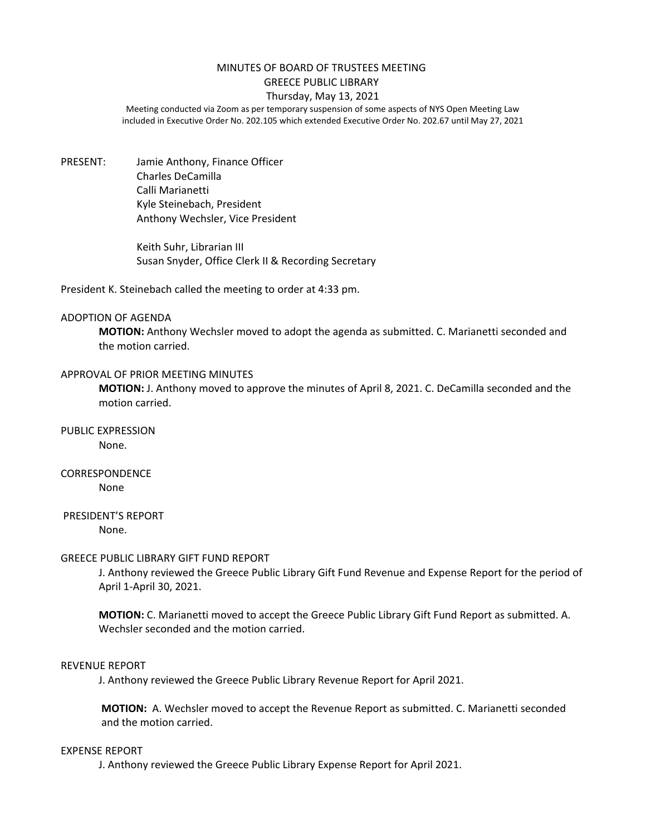## MINUTES OF BOARD OF TRUSTEES MEETING GREECE PUBLIC LIBRARY

# Thursday, May 13, 2021

Meeting conducted via Zoom as per temporary suspension of some aspects of NYS Open Meeting Law included in Executive Order No. 202.105 which extended Executive Order No. 202.67 until May 27, 2021

PRESENT: Jamie Anthony, Finance Officer Charles DeCamilla Calli Marianetti Kyle Steinebach, President Anthony Wechsler, Vice President

> Keith Suhr, Librarian III Susan Snyder, Office Clerk II & Recording Secretary

President K. Steinebach called the meeting to order at 4:33 pm.

#### ADOPTION OF AGENDA

**MOTION:** Anthony Wechsler moved to adopt the agenda as submitted. C. Marianetti seconded and the motion carried.

### APPROVAL OF PRIOR MEETING MINUTES

**MOTION:** J. Anthony moved to approve the minutes of April 8, 2021. C. DeCamilla seconded and the motion carried.

PUBLIC EXPRESSION

None.

# CORRESPONDENCE

None

# PRESIDENT'S REPORT

None.

## GREECE PUBLIC LIBRARY GIFT FUND REPORT

J. Anthony reviewed the Greece Public Library Gift Fund Revenue and Expense Report for the period of April 1-April 30, 2021.

**MOTION:** C. Marianetti moved to accept the Greece Public Library Gift Fund Report as submitted. A. Wechsler seconded and the motion carried.

#### REVENUE REPORT

J. Anthony reviewed the Greece Public Library Revenue Report for April 2021.

**MOTION:** A. Wechsler moved to accept the Revenue Report as submitted. C. Marianetti seconded and the motion carried.

## EXPENSE REPORT

J. Anthony reviewed the Greece Public Library Expense Report for April 2021.